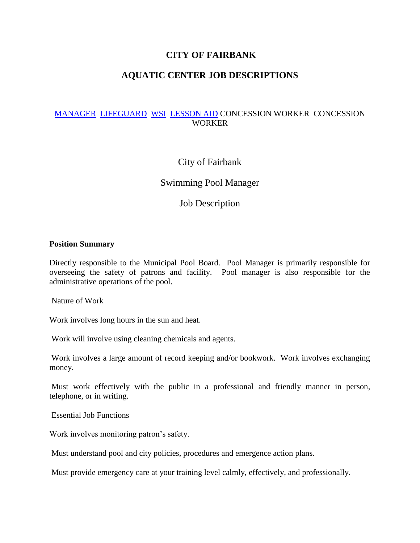# **CITY OF FAIRBANK**

# **AQUATIC CENTER JOB DESCRIPTIONS**

# [MANAGER](http://fairbank-ia.org/pool%20employees.htm#MANAGER) [LIFEGUARD](http://fairbank-ia.org/pool%20employees.htm#LIFEGUARD) [WSI](http://fairbank-ia.org/pool%20employees.htm#WSI) [LESSON AID](http://fairbank-ia.org/pool%20employees.htm#AID) CONCESSION WORKER CONCESSION WORKER

# City of Fairbank

# Swimming Pool Manager

Job Description

#### **Position Summary**

Directly responsible to the Municipal Pool Board. Pool Manager is primarily responsible for overseeing the safety of patrons and facility. Pool manager is also responsible for the administrative operations of the pool.

Nature of Work

Work involves long hours in the sun and heat.

Work will involve using cleaning chemicals and agents.

Work involves a large amount of record keeping and/or bookwork. Work involves exchanging money.

Must work effectively with the public in a professional and friendly manner in person, telephone, or in writing.

Essential Job Functions

Work involves monitoring patron's safety.

Must understand pool and city policies, procedures and emergence action plans.

Must provide emergency care at your training level calmly, effectively, and professionally.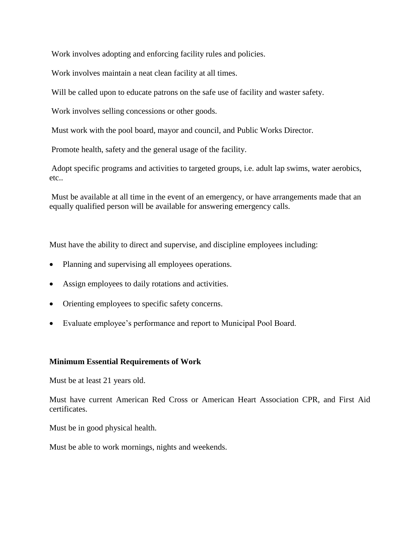Work involves adopting and enforcing facility rules and policies.

Work involves maintain a neat clean facility at all times.

Will be called upon to educate patrons on the safe use of facility and waster safety.

Work involves selling concessions or other goods.

Must work with the pool board, mayor and council, and Public Works Director.

Promote health, safety and the general usage of the facility.

Adopt specific programs and activities to targeted groups, i.e. adult lap swims, water aerobics, etc..

Must be available at all time in the event of an emergency, or have arrangements made that an equally qualified person will be available for answering emergency calls.

Must have the ability to direct and supervise, and discipline employees including:

- Planning and supervising all employees operations.
- Assign employees to daily rotations and activities.
- Orienting employees to specific safety concerns.
- Evaluate employee's performance and report to Municipal Pool Board.

#### **Minimum Essential Requirements of Work**

Must be at least 21 years old.

Must have current American Red Cross or American Heart Association CPR, and First Aid certificates.

Must be in good physical health.

Must be able to work mornings, nights and weekends.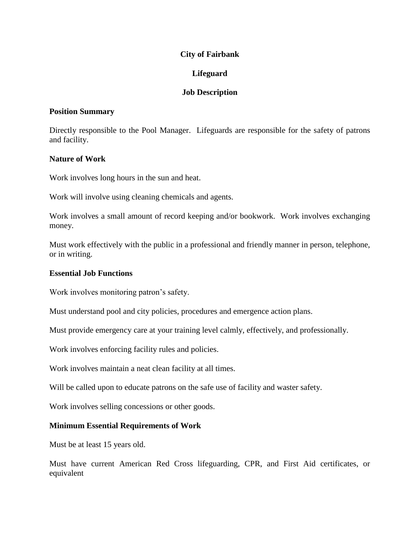### **City of Fairbank**

# **Lifeguard**

## **Job Description**

### **Position Summary**

Directly responsible to the Pool Manager. Lifeguards are responsible for the safety of patrons and facility.

### **Nature of Work**

Work involves long hours in the sun and heat.

Work will involve using cleaning chemicals and agents.

Work involves a small amount of record keeping and/or bookwork. Work involves exchanging money.

Must work effectively with the public in a professional and friendly manner in person, telephone, or in writing.

#### **Essential Job Functions**

Work involves monitoring patron's safety.

Must understand pool and city policies, procedures and emergence action plans.

Must provide emergency care at your training level calmly, effectively, and professionally.

Work involves enforcing facility rules and policies.

Work involves maintain a neat clean facility at all times.

Will be called upon to educate patrons on the safe use of facility and waster safety.

Work involves selling concessions or other goods.

#### **Minimum Essential Requirements of Work**

Must be at least 15 years old.

Must have current American Red Cross lifeguarding, CPR, and First Aid certificates, or equivalent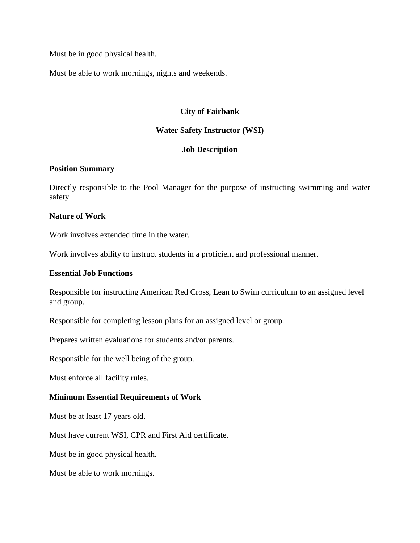Must be in good physical health.

Must be able to work mornings, nights and weekends.

### **City of Fairbank**

#### **Water Safety Instructor (WSI)**

#### **Job Description**

#### **Position Summary**

Directly responsible to the Pool Manager for the purpose of instructing swimming and water safety.

#### **Nature of Work**

Work involves extended time in the water.

Work involves ability to instruct students in a proficient and professional manner.

#### **Essential Job Functions**

Responsible for instructing American Red Cross, Lean to Swim curriculum to an assigned level and group.

Responsible for completing lesson plans for an assigned level or group.

Prepares written evaluations for students and/or parents.

Responsible for the well being of the group.

Must enforce all facility rules.

#### **Minimum Essential Requirements of Work**

Must be at least 17 years old.

Must have current WSI, CPR and First Aid certificate.

Must be in good physical health.

Must be able to work mornings.